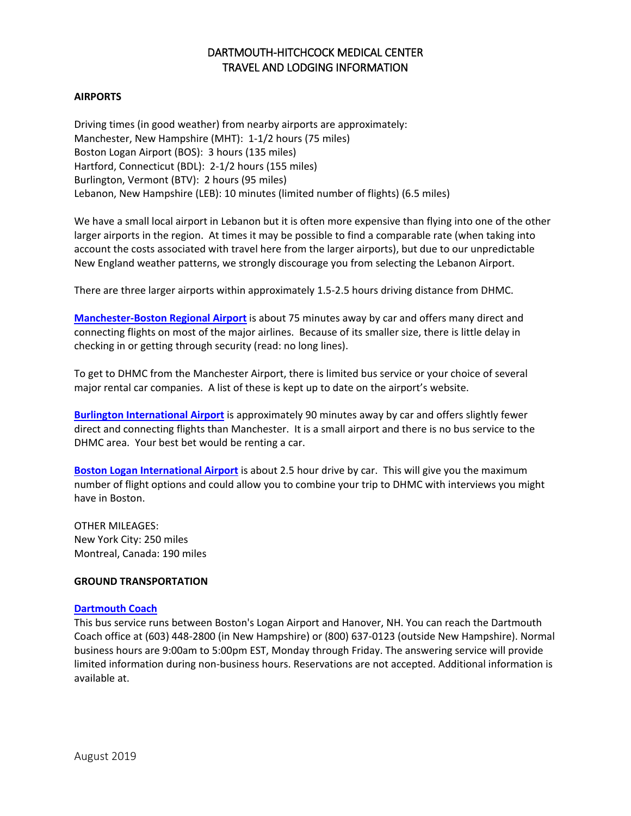# DARTMOUTH-HITCHCOCK MEDICAL CENTER TRAVEL AND LODGING INFORMATION

# **AIRPORTS**

Driving times (in good weather) from nearby airports are approximately: Manchester, New Hampshire (MHT): 1-1/2 hours (75 miles) Boston Logan Airport (BOS): 3 hours (135 miles) Hartford, Connecticut (BDL): 2-1/2 hours (155 miles) Burlington, Vermont (BTV): 2 hours (95 miles) Lebanon, New Hampshire (LEB): 10 minutes (limited number of flights) (6.5 miles)

We have a small local airport in Lebanon but it is often more expensive than flying into one of the other larger airports in the region. At times it may be possible to find a comparable rate (when taking into account the costs associated with travel here from the larger airports), but due to our unpredictable New England weather patterns, we strongly discourage you from selecting the Lebanon Airport.

There are three larger airports within approximately 1.5-2.5 hours driving distance from DHMC.

**[Manchester-Boston Regional Airport](https://www.flymanchester.com/)** is about 75 minutes away by car and offers many direct and connecting flights on most of the major airlines. Because of its smaller size, there is little delay in checking in or getting through security (read: no long lines).

To get to DHMC from the Manchester Airport, there is limited bus service or your choice of several major rental car companies. A list of these is kept up to date on the airport's website.

**Burlington [International Airport](http://www.burlingtonintlairport.com/)** is approximately 90 minutes away by car and offers slightly fewer direct and connecting flights than Manchester. It is a small airport and there is no bus service to the DHMC area. Your best bet would be renting a car.

**[Boston Logan International Airport](http://www.massport.com/logan-airport/)** is about 2.5 hour drive by car. This will give you the maximum number of flight options and could allow you to combine your trip to DHMC with interviews you might have in Boston.

OTHER MILEAGES: New York City: 250 miles Montreal, Canada: 190 miles

#### **GROUND TRANSPORTATION**

#### **[Dartmouth Coach](http://www.dartmouthcoach.com/)**

This bus service runs between Boston's Logan Airport and Hanover, NH. You can reach the Dartmouth Coach office at (603) 448-2800 (in New Hampshire) or (800) 637-0123 (outside New Hampshire). Normal business hours are 9:00am to 5:00pm EST, Monday through Friday. The answering service will provide limited information during non-business hours. Reservations are not accepted. Additional information is available at.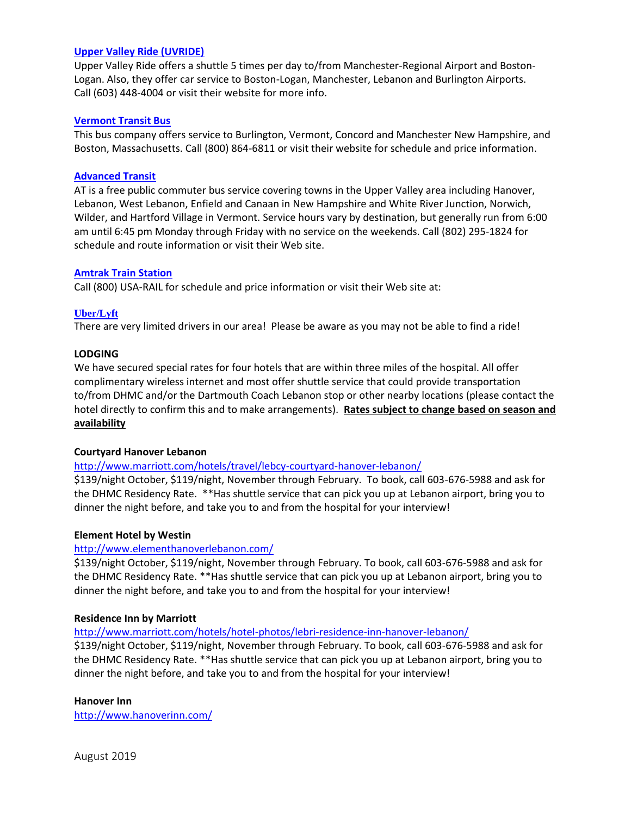#### **[Upper Valley Ride \(UVRIDE\)](http://uvride.com/?reqp=1&reqr=nzcdYaEvLaE5pv5jLab=)**

Upper Valley Ride offers a shuttle 5 times per day to/from Manchester-Regional Airport and Boston-Logan. Also, they offer car service to Boston-Logan, Manchester, Lebanon and Burlington Airports. Call (603) 448-4004 or visit their website for more info.

### **Vermont Transit Bus**

This bus company offers service to Burlington, Vermont, Concord and Manchester New Hampshire, and Boston, Massachusetts. Call (800) 864-6811 or visit their website for schedule and price information.

### **[Advanced Transit](http://www.advancetransit.com/)**

AT is a free public commuter bus service covering towns in the Upper Valley area including Hanover, Lebanon, West Lebanon, Enfield and Canaan in New Hampshire and White River Junction, Norwich, Wilder, and Hartford Village in Vermont. Service hours vary by destination, but generally run from 6:00 am until 6:45 pm Monday through Friday with no service on the weekends. Call (802) 295-1824 for schedule and route information or visit their Web site.

### **[Amtrak Train Station](http://www.amtrak.com/)**

Call (800) USA-RAIL for schedule and price information or visit their Web site at:

### **Uber/Lyft**

There are very limited drivers in our area! Please be aware as you may not be able to find a ride!

### **LODGING**

We have secured special rates for four hotels that are within three miles of the hospital. All offer complimentary wireless internet and most offer shuttle service that could provide transportation to/from DHMC and/or the Dartmouth Coach Lebanon stop or other nearby locations (please contact the hotel directly to confirm this and to make arrangements). **Rates subject to change based on season and availability**

# **Courtyard Hanover Lebanon**

<http://www.marriott.com/hotels/travel/lebcy-courtyard-hanover-lebanon/>

\$139/night October, \$119/night, November through February. To book, call 603-676-5988 and ask for the DHMC Residency Rate. \*\*Has shuttle service that can pick you up at Lebanon airport, bring you to dinner the night before, and take you to and from the hospital for your interview!

#### **Element Hotel by Westin**

# <http://www.elementhanoverlebanon.com/>

\$139/night October, \$119/night, November through February. To book, call 603-676-5988 and ask for the DHMC Residency Rate. \*\*Has shuttle service that can pick you up at Lebanon airport, bring you to dinner the night before, and take you to and from the hospital for your interview!

#### **Residence Inn by Marriott**

<http://www.marriott.com/hotels/hotel-photos/lebri-residence-inn-hanover-lebanon/>

\$139/night October, \$119/night, November through February. To book, call 603-676-5988 and ask for the DHMC Residency Rate. \*\*Has shuttle service that can pick you up at Lebanon airport, bring you to dinner the night before, and take you to and from the hospital for your interview!

#### **Hanover Inn**

<http://www.hanoverinn.com/>